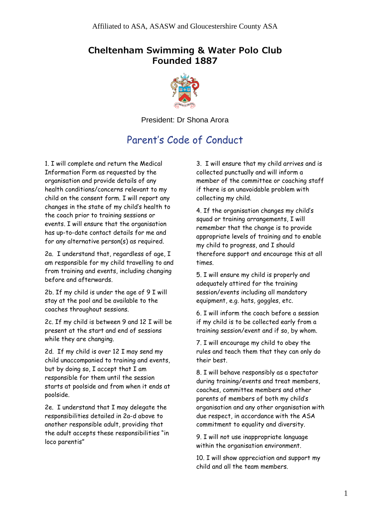## **Cheltenham Swimming & Water Polo Club Founded 1887**



President: Dr Shona Arora

## Parent's Code of Conduct

1. I will complete and return the Medical Information Form as requested by the organisation and provide details of any health conditions/concerns relevant to my child on the consent form. I will report any changes in the state of my child's health to the coach prior to training sessions or events. I will ensure that the organisation has up-to-date contact details for me and for any alternative person(s) as required.

2a. I understand that, regardless of age, I am responsible for my child travelling to and from training and events, including changing before and afterwards.

2b. If my child is under the age of 9 I will stay at the pool and be available to the coaches throughout sessions.

2c. If my child is between 9 and 12 I will be present at the start and end of sessions while they are changing.

2d. If my child is over 12 I may send my child unaccompanied to training and events, but by doing so, I accept that I am responsible for them until the session starts at poolside and from when it ends at poolside.

2e. I understand that I may delegate the responsibilities detailed in 2a-d above to another responsible adult, providing that the adult accepts these responsibilities "in loco parentis"

3. I will ensure that my child arrives and is collected punctually and will inform a member of the committee or coaching staff if there is an unavoidable problem with collecting my child.

4. If the organisation changes my child's squad or training arrangements, I will remember that the change is to provide appropriate levels of training and to enable my child to progress, and I should therefore support and encourage this at all times.

5. I will ensure my child is properly and adequately attired for the training session/events including all mandatory equipment, e.g. hats, goggles, etc.

6. I will inform the coach before a session if my child is to be collected early from a training session/event and if so, by whom.

7. I will encourage my child to obey the rules and teach them that they can only do their best.

8. I will behave responsibly as a spectator during training/events and treat members, coaches, committee members and other parents of members of both my child's organisation and any other organisation with due respect, in accordance with the ASA commitment to equality and diversity.

9. I will not use inappropriate language within the organisation environment.

10. I will show appreciation and support my child and all the team members.